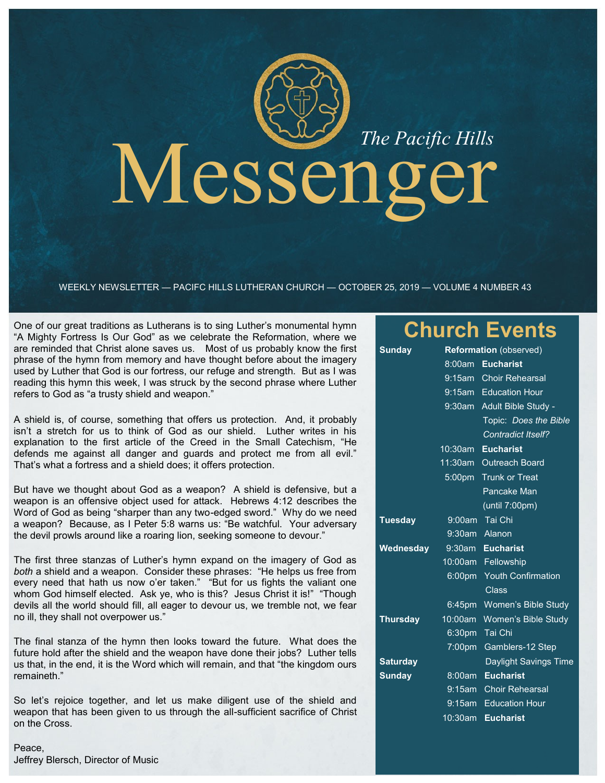# Messenger

WEEKLY NEWSLETTER — PACIFC HILLS LUTHERAN CHURCH — OCTOBER 25, 2019 — VOLUME 4 NUMBER 43

One of our great traditions as Lutherans is to sing Luther's monumental hymn "A Mighty Fortress Is Our God" as we celebrate the Reformation, where we are reminded that Christ alone saves us. Most of us probably know the first phrase of the hymn from memory and have thought before about the imagery used by Luther that God is our fortress, our refuge and strength. But as I was reading this hymn this week, I was struck by the second phrase where Luther refers to God as "a trusty shield and weapon."

A shield is, of course, something that offers us protection. And, it probably isn't a stretch for us to think of God as our shield. Luther writes in his explanation to the first article of the Creed in the Small Catechism, "He defends me against all danger and guards and protect me from all evil." That's what a fortress and a shield does; it offers protection.

But have we thought about God as a weapon? A shield is defensive, but a weapon is an offensive object used for attack. Hebrews 4:12 describes the Word of God as being "sharper than any two-edged sword." Why do we need a weapon? Because, as I Peter 5:8 warns us: "Be watchful. Your adversary the devil prowls around like a roaring lion, seeking someone to devour."

The first three stanzas of Luther's hymn expand on the imagery of God as *both* a shield and a weapon. Consider these phrases: "He helps us free from every need that hath us now o'er taken." "But for us fights the valiant one whom God himself elected. Ask ye, who is this? Jesus Christ it is!" "Though devils all the world should fill, all eager to devour us, we tremble not, we fear no ill, they shall not overpower us."

The final stanza of the hymn then looks toward the future. What does the future hold after the shield and the weapon have done their jobs? Luther tells us that, in the end, it is the Word which will remain, and that "the kingdom ours remaineth."

So let's rejoice together, and let us make diligent use of the shield and weapon that has been given to us through the all-sufficient sacrifice of Christ on the Cross.

Peace, Jeffrey Blersch, Director of Music

# **Church Events**

| <b>Sunday</b>   | <b>Reformation</b> (observed) |                           |
|-----------------|-------------------------------|---------------------------|
|                 |                               | 8:00am Eucharist          |
|                 |                               | 9:15am Choir Rehearsal    |
|                 |                               | 9:15am Education Hour     |
|                 | $9:30$ am                     | Adult Bible Study -       |
|                 |                               | Topic: Does the Bible     |
|                 |                               | <b>Contradict Itself?</b> |
|                 | 10:30am                       | <b>Eucharist</b>          |
|                 | 11:30am                       | <b>Outreach Board</b>     |
|                 | 5:00pm                        | <b>Trunk or Treat</b>     |
|                 |                               | Pancake Man               |
|                 |                               | (until 7:00pm)            |
| <b>Tuesday</b>  |                               | 9:00am Tai Chi            |
|                 | $9:30$ am                     | Alanon                    |
| Wednesday       | $9:30$ am                     | <b>Eucharist</b>          |
|                 | 10:00am                       | Fellowship                |
|                 | 6:00 <sub>pm</sub>            | <b>Youth Confirmation</b> |
|                 |                               | Class                     |
|                 | $6:45$ pm                     | Women's Bible Study       |
| <b>Thursday</b> | 10:00am                       | Women's Bible Study       |
|                 | 6:30pm                        | Tai Chi                   |
|                 | 7:00pm                        | Gamblers-12 Step          |
| <b>Saturday</b> |                               | Daylight Savings Time     |
| <b>Sunday</b>   | 8:00am                        | <b>Eucharist</b>          |
|                 | 9:15am                        | <b>Choir Rehearsal</b>    |
|                 | 9:15am                        | <b>Education Hour</b>     |
|                 | 10:30am                       | <b>Eucharist</b>          |